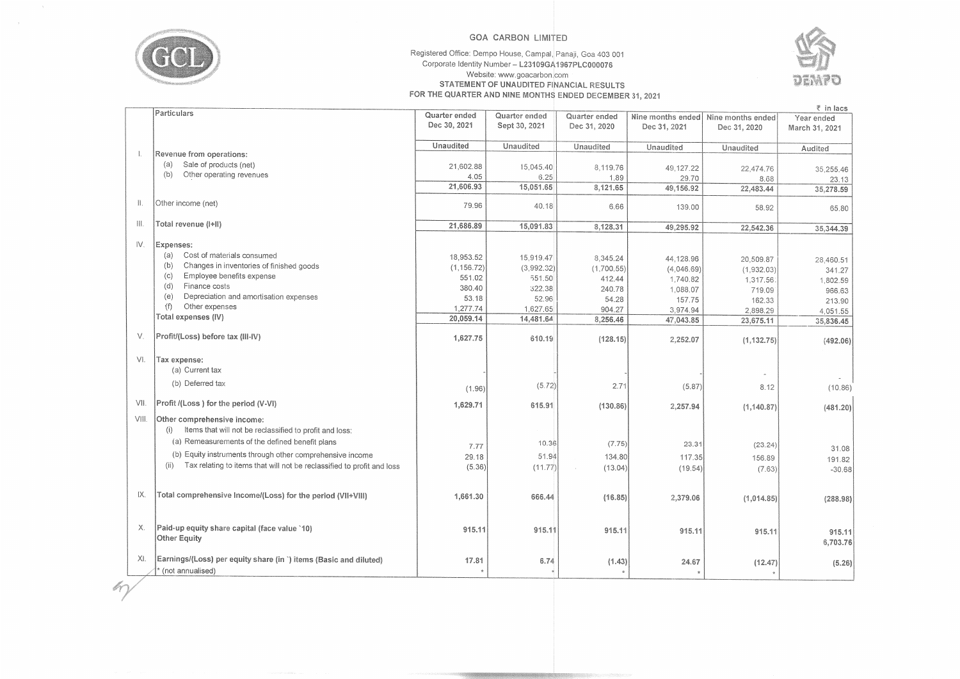

 $m$ 

## **GOA CARBON LIMITED**

## Registered Office: Dempo House, Campal, Panaji, Goa 403 001 Corporate Identity Number- **L23109GA1967PLC000076**  Website: www.goacarbon.com **STATEMENT OF UNAUDITED FINANCIAL RESULTS FOR THE QUARTER AND NINE MONTHS ENDED DECEMBER 31, 2021**



|       | Particulars                                                                           | Quarter ended | Quarter ended | Quarter ended |              | Nine months ended   Nine months ended | .<br>Year ended    |
|-------|---------------------------------------------------------------------------------------|---------------|---------------|---------------|--------------|---------------------------------------|--------------------|
|       |                                                                                       | Dec 30, 2021  | Sept 30, 2021 | Dec 31, 2020  | Dec 31, 2021 | Dec 31, 2020                          | March 31, 2021     |
|       |                                                                                       | Unaudited     | Unaudited     | Unaudited     | Unaudited    | Unaudited                             |                    |
|       | Revenue from operations:                                                              |               |               |               |              |                                       | Audited            |
|       | Sale of products (net)<br>(a)                                                         | 21,602.88     | 15,045.40     | 8,119.76      | 49,127.22    |                                       |                    |
|       | Other operating revenues<br>(b)                                                       | 4.05          | 6.25          | 1.89          | 29.70        | 22,474.76<br>8.68                     | 35,255.46          |
|       |                                                                                       | 21,606.93     | 15,051.65     | 8,121.65      | 49,156.92    | 22,483.44                             | 23.13<br>35,278.59 |
| Ⅱ.    | Other income (net)                                                                    | 79.96         | 40.18         | 6.66          | 139.00       | 58.92                                 | 65.80              |
| III.  | Total revenue (I+II)                                                                  | 21,686.89     | 15,091.83     | 8,128.31      | 49,295.92    | 22,542.36                             | 35,344.39          |
|       |                                                                                       |               |               |               |              |                                       |                    |
| IV.   | Expenses:                                                                             |               |               |               |              |                                       |                    |
|       | Cost of materials consumed<br>(a)                                                     | 18,953.52     | 15,919.47     | 8,345.24      | 44,128.96    | 20,509.87                             | 28,460.51          |
|       | Changes in inventories of finished goods<br>(b)                                       | (1, 156.72)   | (3,992.32)    | (1,700.55)    | (4,046.69)   | (1,932.03)                            | 341.27             |
|       | Employee benefits expense<br>(c)                                                      | 551.02        | 551.50        | 412.44        | 1,740.82     | 1,317.56                              | 1,802.59           |
|       | Finance costs<br>(d)                                                                  | 380.40        | 322.38        | 240.78        | 1,088.07     | 719.09                                | 966.63             |
|       | Depreciation and amortisation expenses<br>(e)                                         | 53.18         | 52.96         | 54.28         | 157.75       | 162.33                                | 213.90             |
|       | Other expenses<br>(f)                                                                 | 1,277.74      | 1,627.65      | 904.27        | 3,974.94     | 2,898.29                              | 4,051.55           |
|       | Total expenses (IV)                                                                   | 20,059.14     | 14,481.64     | 8,256.46      | 47,043.85    | 23,675.11                             | 35,836.45          |
| V.    | Profit/(Loss) before tax (III-IV)                                                     | 1,627.75      | 610.19        | (128.15)      | 2,252.07     | (1, 132.75)                           | (492.06)           |
| VI.   | Tax expense:                                                                          |               |               |               |              |                                       |                    |
|       | (a) Current tax                                                                       |               |               |               |              |                                       |                    |
|       | (b) Deferred tax                                                                      | (1.96)        | (5.72)        | 2.71          | (5.87)       | 8.12                                  | (10.86)            |
| VII.  | Profit /(Loss) for the period (V-VI)                                                  | 1,629.71      | 615.91        | (130.86)      | 2,257.94     | (1, 140.87)                           | (481.20)           |
| VIII. | Other comprehensive income:                                                           |               |               |               |              |                                       |                    |
|       | Items that will not be reclassified to profit and loss:<br>(i)                        |               |               |               |              |                                       |                    |
|       | (a) Remeasurements of the defined benefit plans                                       |               | 10.36         | (7.75)        | 23.31        |                                       |                    |
|       |                                                                                       | 7.77          |               |               |              | (23.24)                               | 31.08              |
|       | (b) Equity instruments through other comprehensive income<br>(ii)                     | 29.18         | 51.94         | 134.80        | 117.35       | 156.89                                | 191.82             |
|       | Tax relating to items that will not be reclassified to profit and loss                | (5.36)        | (11.77)       | (13.04)       | (19.54)      | (7.63)                                | $-30.68$           |
| IX.   | Total comprehensive Income/(Loss) for the period (VII+VIII)                           |               |               |               |              |                                       |                    |
|       |                                                                                       | 1,661.30      | 666.44        | (16.85)       | 2,379.06     | (1,014.85)                            | (288.98)           |
| Х.    | Paid-up equity share capital (face value `10)                                         |               |               |               |              |                                       |                    |
|       | Other Equity                                                                          | 915.11        | 915.11        | 915.11        | 915.11       | 915.11                                | 915.11<br>6,703.76 |
| XI.   | Earnings/(Loss) per equity share (in `) items (Basic and diluted)<br>(not annualised) | 17.81         | 6.74          | (1.43)        | 24.67        | (12.47)                               | (5.26)             |
|       |                                                                                       |               |               |               |              |                                       |                    |

r in **,acs**